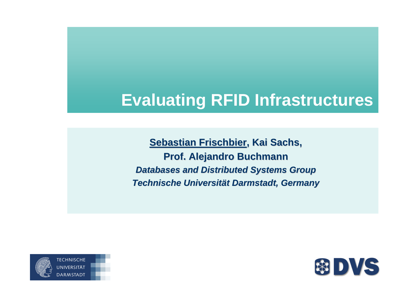# **Evaluating RFID Infrastructures**

**Sebastian Frischbier, Kai Sachs,Prof. Alejandro Buchmann Databases and Distributed Systems GroupTechnische Universitä t Darmstadt, Germany**



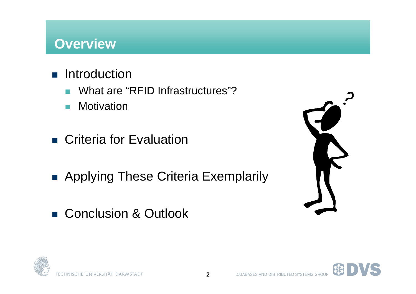#### **Overview**

- **Introduction** 
	- What are "RFID Infrastructures"?
	- $\mathcal{L}_{\mathcal{A}}$ **Motivation**
- Criteria for Evaluation
- Applying These Criteria Exemplarily
- Conclusion & Outlook







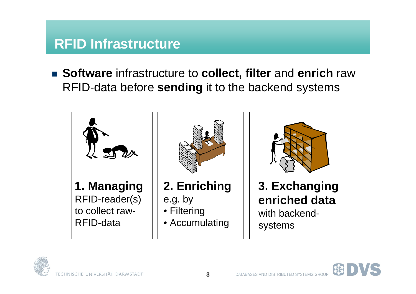#### **RFID Infrastructure**

 **Software** infrastructure to **collect, filter** and **enrich** raw RFID-data before **sending** it to the backend systems







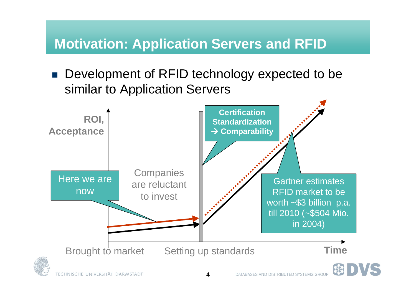### **Motivation: Application Servers and RFID**

■ Development of RFID technology expected to be similar to Application Servers

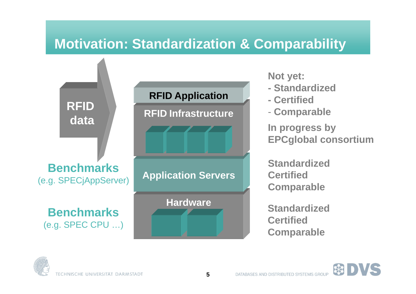#### **Motivation: Standardization & Comparability**



**Not yet:**

- **- Standardized**
- **- Certified**
- Comnai **Comparable**

**In progress by EPCglobal consortium**

 $\mathbb{R}$ 

**StandardizedCertifiedComparable**

**StandardizedCertifiedComparable**

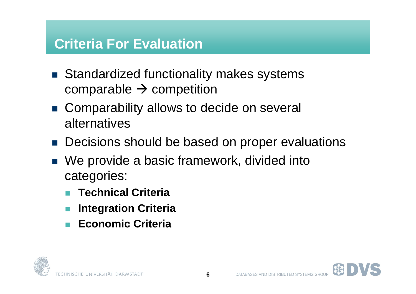#### **Criteria For Evaluation**

- Standardized functionality makes systems comparable → competition<br>Comparability allows to de
- Comparability allows to decide on several alternatives
- Decisions should be based on proper evaluations
- We provide a basic framework, divided into categories:
	- $\mathcal{C}^{\mathcal{A}}$ **Technical Criteria**
	- F. **Integration Criteria**
	- **Economic Criteria**



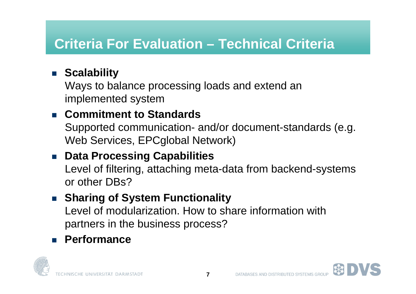### **Criteria For Evaluation – Technical Criteria**

### **Scalability**

 Ways to balance processing loads and extend an implemented system

#### **Commitment to Standards**

 Supported communication- and/or document-standards (e.g. Web Services, EPCglobal Network)

#### $\mathcal{L}^{\text{max}}_{\text{max}}$ **Data Processing Capabilities**

 Level of filtering, attaching meta-data from backend-systems or other DBs?

### **Sharing of System Functionality**

 Level of modularization. How to share information with partners in the business process?

### **Performance**



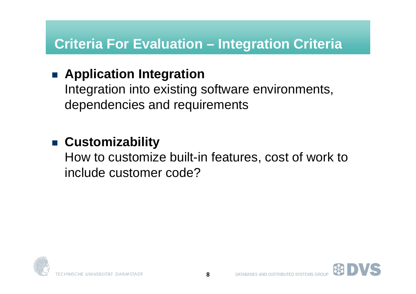### **Criteria For Evaluation – Integration Criteria**

# **Application Integration**

 Integration into existing software environments, dependencies and requirements

# **Customizability**

 How to customize built-in features, cost of work toinclude customer code?



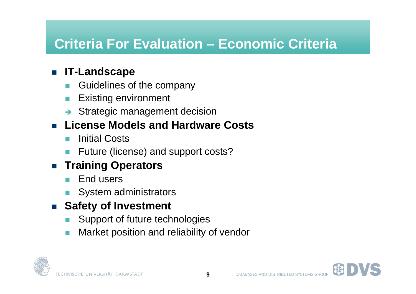### **Criteria For Evaluation – Economic Criteria**

### **IT-Landscape**

- **Buidelines of the company**  $\overline{\phantom{a}}$
- П Existing environment
- Strategic management decision

### **License Models and Hardware Costs**

- $\mathcal{L}_{\mathcal{A}}$ Initial Costs
- $\mathcal{C}_{\mathcal{A}}$ Future (license) and support costs?

### **■ Training Operators**

- $\sim$ End users
- M System administrators

### ■ Safety of Investment

- $\mathcal{L}_{\mathcal{A}}$ Support of future technologies
- Market position and reliability of vendor



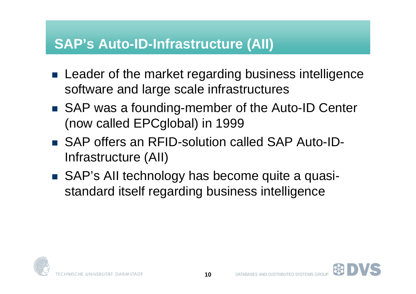### **SAP's Auto-ID-Infrastructure (AII)**

- **Leader of the market regarding business intelligence** software and large scale infrastructures
- SAP was a founding-member of the Auto-ID Center (now called EPCglobal) in 1999
- SAP offers an RFID-solution called SAP Auto-ID-Infrastructure (AII)
- SAP's AII technology has become quite a quasistandard itself regarding business intelligence





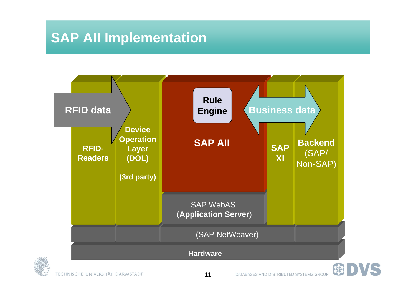### **SAP AII Implementation**



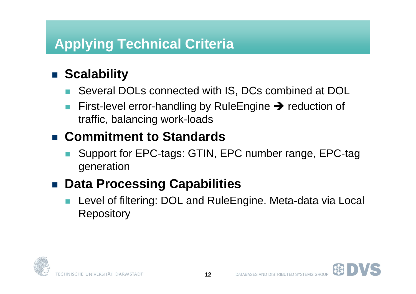### **Applying Technical Criteria**

# ■ Scalability

- Several DOLs connected with IS, DCs combined at DOL
- $\mathcal{C}^{\mathcal{A}}$ First-level error-handling by RuleEngine  $\rightarrow$  reduction of<br>traffic balancing work-loads traffic, balancing work-loads

# ■ Commitment to Standards

 Support for EPC-tags: GTIN, EPC number range, EPC-tag generation

# **Data Processing Capabilities**

 $\overline{\mathbb{R}^n}$  Level of filtering: DOL and RuleEngine. Meta-data via Local **Repository** 

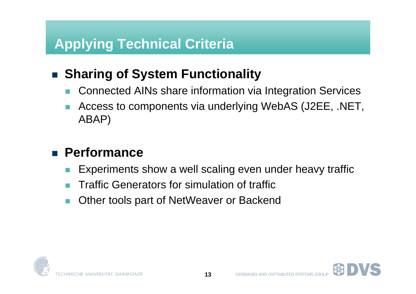### **Applying Technical Criteria**

# ■ Sharing of System Functionality

- $\overline{\mathbb{R}^n}$ Connected AINs share information via Integration Services
- $\mathcal{C}^{\mathcal{A}}$  Access to components via underlying WebAS (J2EE, .NET, ABAP)

# **Performance**

- $\overline{\mathbb{R}^n}$ Experiments show a well scaling even under heavy traffic
- Traffic Generators for simulation of traffic
- $\mathcal{C}^{\mathcal{A}}$ Other tools part of NetWeaver or Backend



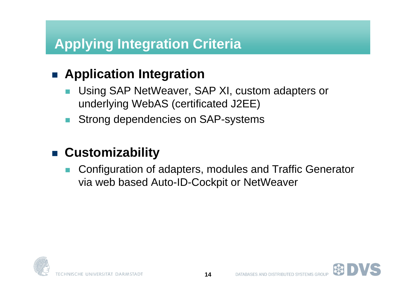### **Applying Integration Criteria**

# **Application Integration**

- Using SAP NetWeaver, SAP XI, custom adapters or  $\overline{\mathbb{R}^n}$ underlying WebAS (certificated J2EE)
- $\mathcal{L}_{\mathcal{A}}$ Strong dependencies on SAP-systems

# **Customizability**

 $\overline{\mathbb{R}^n}$  Configuration of adapters, modules and Traffic Generator via web based Auto-ID-Cockpit or NetWeaver



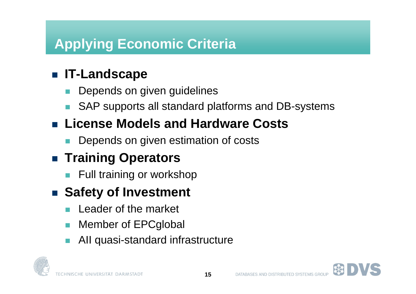### **Applying Economic Criteria**

# **IT-Landscape**

- $\overline{\mathbb{R}^n}$ Depends on given guidelines
- $\mathcal{C}^{\mathcal{A}}$ SAP supports all standard platforms and DB-systems

# **License Models and Hardware Costs**

**COL** Depends on given estimation of costs

# **■ Training Operators**

 $\blacksquare$  Full training or workshop

# ■ Safety of Investment

- $\overline{\phantom{a}}$ Leader of the market
- $\overline{\mathbb{R}^n}$ Member of EPCglobal
- $\mathcal{C}^{\mathcal{A}}$ AII quasi-standard infrastructure



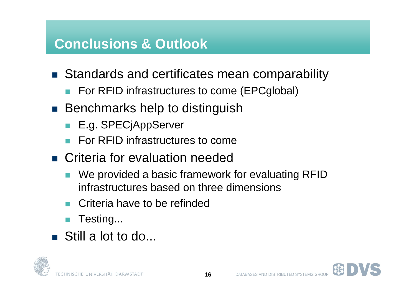#### **Conclusions & Outlook**

- Standards and certificates mean comparability
	- For RFID infrastructures to come (EPCglobal)
- Benchmarks help to distinguish
	- E.g. SPECjAppServer
	- For RFID infrastructures to come
- Criteria for evaluation needed
	- We provided a basic framework for evaluating RFID infrastructures based on three dimensions
	- и. Criteria have to be refinded
	- $\mathcal{L}_{\mathcal{A}}$ Testing...
- Still a lot to do...